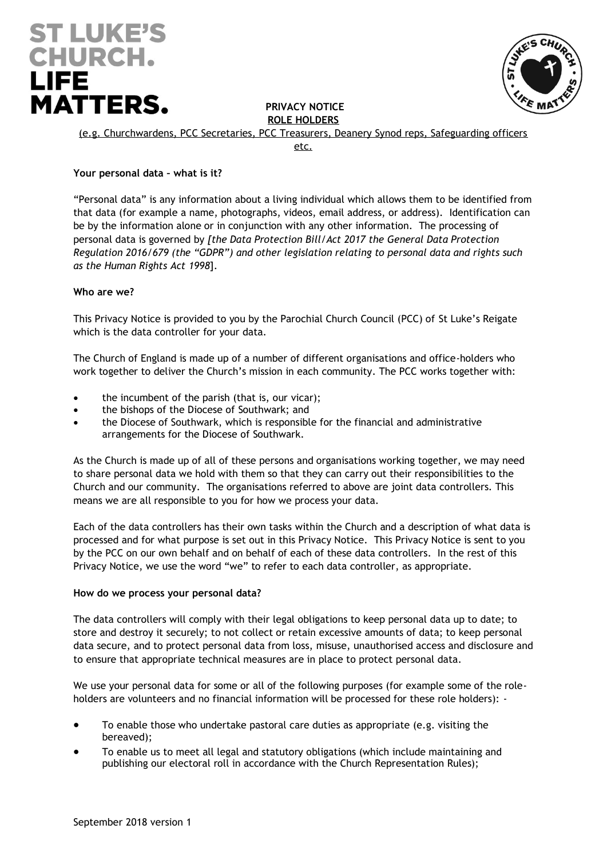# **ST LUKE'S CHURCH. LIFE MATTERS.**



**PRIVACY NOTICE ROLE HOLDERS**

(e.g. Churchwardens, PCC Secretaries, PCC Treasurers, Deanery Synod reps, Safeguarding officers

etc.

# **Your personal data – what is it?**

"Personal data" is any information about a living individual which allows them to be identified from that data (for example a name, photographs, videos, email address, or address). Identification can be by the information alone or in conjunction with any other information. The processing of personal data is governed by *[the Data Protection Bill/Act 2017 the General Data Protection Regulation 2016/679 (the "GDPR") and other legislation relating to personal data and rights such as the Human Rights Act 1998*].

# **Who are we?**

This Privacy Notice is provided to you by the Parochial Church Council (PCC) of St Luke's Reigate which is the data controller for your data.

The Church of England is made up of a number of different organisations and office-holders who work together to deliver the Church's mission in each community. The PCC works together with:

- the incumbent of the parish (that is, our vicar);
- the bishops of the Diocese of Southwark; and
- the Diocese of Southwark, which is responsible for the financial and administrative arrangements for the Diocese of Southwark.

As the Church is made up of all of these persons and organisations working together, we may need to share personal data we hold with them so that they can carry out their responsibilities to the Church and our community. The organisations referred to above are joint data controllers. This means we are all responsible to you for how we process your data.

Each of the data controllers has their own tasks within the Church and a description of what data is processed and for what purpose is set out in this Privacy Notice. This Privacy Notice is sent to you by the PCC on our own behalf and on behalf of each of these data controllers. In the rest of this Privacy Notice, we use the word "we" to refer to each data controller, as appropriate.

## **How do we process your personal data?**

The data controllers will comply with their legal obligations to keep personal data up to date; to store and destroy it securely; to not collect or retain excessive amounts of data; to keep personal data secure, and to protect personal data from loss, misuse, unauthorised access and disclosure and to ensure that appropriate technical measures are in place to protect personal data.

We use your personal data for some or all of the following purposes (for example some of the roleholders are volunteers and no financial information will be processed for these role holders): -

- To enable those who undertake pastoral care duties as appropriate (e.g. visiting the bereaved);
- To enable us to meet all legal and statutory obligations (which include maintaining and publishing our electoral roll in accordance with the Church Representation Rules);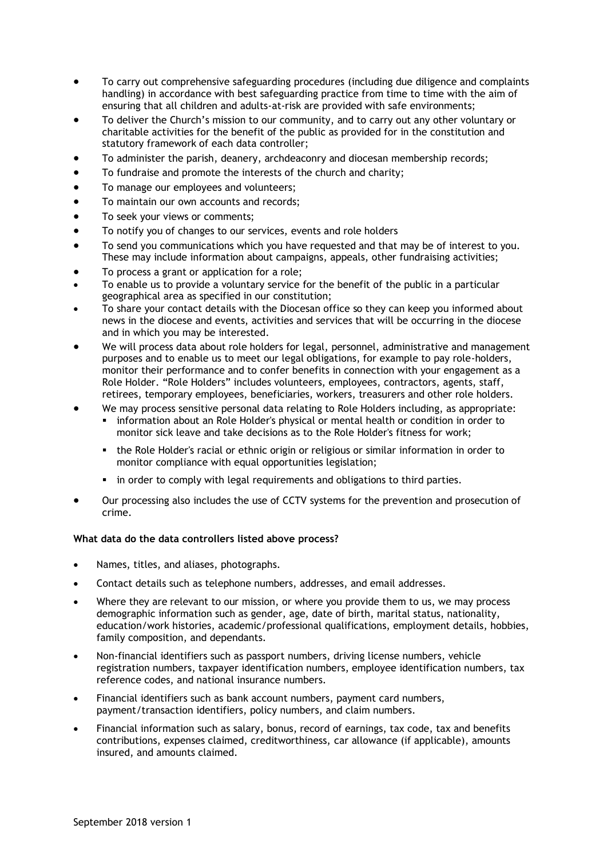- To carry out comprehensive safeguarding procedures (including due diligence and complaints handling) in accordance with best safeguarding practice from time to time with the aim of ensuring that all children and adults-at-risk are provided with safe environments;
- To deliver the Church's mission to our community, and to carry out any other voluntary or charitable activities for the benefit of the public as provided for in the constitution and statutory framework of each data controller;
- To administer the parish, deanery, archdeaconry and diocesan membership records;
- To fundraise and promote the interests of the church and charity;
- To manage our employees and volunteers;
- To maintain our own accounts and records;
- To seek your views or comments;
- To notify you of changes to our services, events and role holders
- To send you communications which you have requested and that may be of interest to you. These may include information about campaigns, appeals, other fundraising activities;
- To process a grant or application for a role;
- To enable us to provide a voluntary service for the benefit of the public in a particular geographical area as specified in our constitution;
- To share your contact details with the Diocesan office so they can keep you informed about news in the diocese and events, activities and services that will be occurring in the diocese and in which you may be interested.
- We will process data about role holders for legal, personnel, administrative and management purposes and to enable us to meet our legal obligations, for example to pay role-holders, monitor their performance and to confer benefits in connection with your engagement as a Role Holder. "Role Holders" includes volunteers, employees, contractors, agents, staff, retirees, temporary employees, beneficiaries, workers, treasurers and other role holders.
- We may process sensitive personal data relating to Role Holders including, as appropriate:
	- information about an Role Holder's physical or mental health or condition in order to monitor sick leave and take decisions as to the Role Holder's fitness for work;
	- **.** the Role Holder's racial or ethnic origin or religious or similar information in order to monitor compliance with equal opportunities legislation;
	- in order to comply with legal requirements and obligations to third parties.
- Our processing also includes the use of CCTV systems for the prevention and prosecution of crime.

## **What data do the data controllers listed above process?**

- Names, titles, and aliases, photographs.
- Contact details such as telephone numbers, addresses, and email addresses.
- Where they are relevant to our mission, or where you provide them to us, we may process demographic information such as gender, age, date of birth, marital status, nationality, education/work histories, academic/professional qualifications, employment details, hobbies, family composition, and dependants.
- Non-financial identifiers such as passport numbers, driving license numbers, vehicle registration numbers, taxpayer identification numbers, employee identification numbers, tax reference codes, and national insurance numbers.
- Financial identifiers such as bank account numbers, payment card numbers, payment/transaction identifiers, policy numbers, and claim numbers.
- Financial information such as salary, bonus, record of earnings, tax code, tax and benefits contributions, expenses claimed, creditworthiness, car allowance (if applicable), amounts insured, and amounts claimed.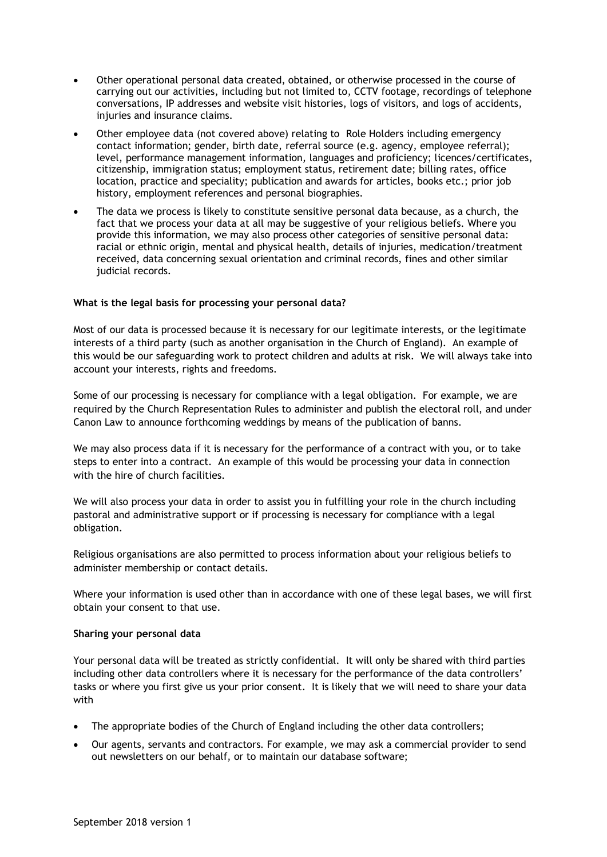- Other operational personal data created, obtained, or otherwise processed in the course of carrying out our activities, including but not limited to, CCTV footage, recordings of telephone conversations, IP addresses and website visit histories, logs of visitors, and logs of accidents, injuries and insurance claims.
- Other employee data (not covered above) relating to Role Holders including emergency contact information; gender, birth date, referral source (e.g. agency, employee referral); level, performance management information, languages and proficiency; licences/certificates, citizenship, immigration status; employment status, retirement date; billing rates, office location, practice and speciality; publication and awards for articles, books etc.; prior job history, employment references and personal biographies.
- The data we process is likely to constitute sensitive personal data because, as a church, the fact that we process your data at all may be suggestive of your religious beliefs. Where you provide this information, we may also process other categories of sensitive personal data: racial or ethnic origin, mental and physical health, details of injuries, medication/treatment received, data concerning sexual orientation and criminal records, fines and other similar judicial records.

## **What is the legal basis for processing your personal data?**

Most of our data is processed because it is necessary for our legitimate interests, or the legitimate interests of a third party (such as another organisation in the Church of England). An example of this would be our safeguarding work to protect children and adults at risk. We will always take into account your interests, rights and freedoms.

Some of our processing is necessary for compliance with a legal obligation. For example, we are required by the Church Representation Rules to administer and publish the electoral roll, and under Canon Law to announce forthcoming weddings by means of the publication of banns.

We may also process data if it is necessary for the performance of a contract with you, or to take steps to enter into a contract. An example of this would be processing your data in connection with the hire of church facilities.

We will also process your data in order to assist you in fulfilling your role in the church including pastoral and administrative support or if processing is necessary for compliance with a legal obligation.

Religious organisations are also permitted to process information about your religious beliefs to administer membership or contact details.

Where your information is used other than in accordance with one of these legal bases, we will first obtain your consent to that use.

#### **Sharing your personal data**

Your personal data will be treated as strictly confidential. It will only be shared with third parties including other data controllers where it is necessary for the performance of the data controllers' tasks or where you first give us your prior consent. It is likely that we will need to share your data with

- The appropriate bodies of the Church of England including the other data controllers;
- Our agents, servants and contractors. For example, we may ask a commercial provider to send out newsletters on our behalf, or to maintain our database software;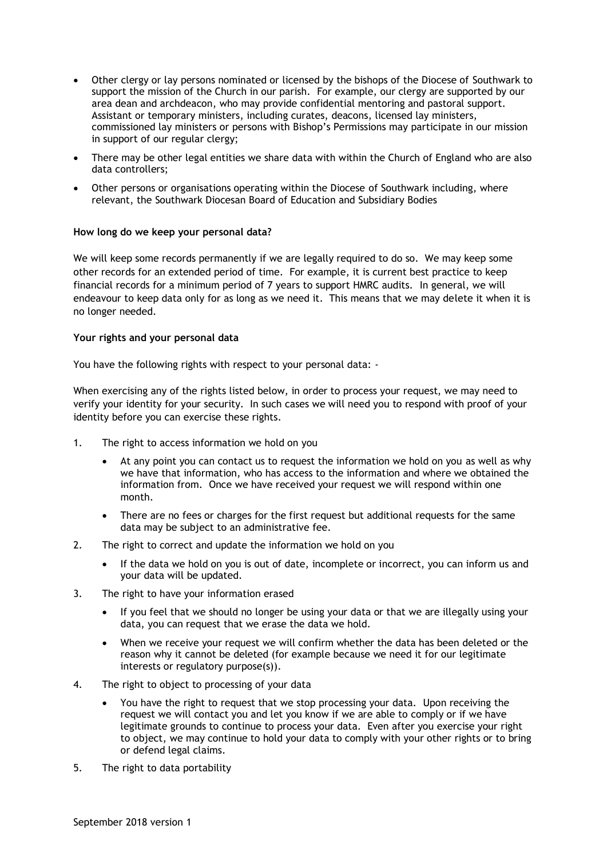- Other clergy or lay persons nominated or licensed by the bishops of the Diocese of Southwark to support the mission of the Church in our parish. For example, our clergy are supported by our area dean and archdeacon, who may provide confidential mentoring and pastoral support. Assistant or temporary ministers, including curates, deacons, licensed lay ministers, commissioned lay ministers or persons with Bishop's Permissions may participate in our mission in support of our regular clergy;
- There may be other legal entities we share data with within the Church of England who are also data controllers;
- Other persons or organisations operating within the Diocese of Southwark including, where relevant, the Southwark Diocesan Board of Education and Subsidiary Bodies

## **How long do we keep your personal data?**

We will keep some records permanently if we are legally required to do so. We may keep some other records for an extended period of time. For example, it is current best practice to keep financial records for a minimum period of 7 years to support HMRC audits. In general, we will endeavour to keep data only for as long as we need it. This means that we may delete it when it is no longer needed.

## **Your rights and your personal data**

You have the following rights with respect to your personal data: -

When exercising any of the rights listed below, in order to process your request, we may need to verify your identity for your security. In such cases we will need you to respond with proof of your identity before you can exercise these rights.

- 1. The right to access information we hold on you
	- At any point you can contact us to request the information we hold on you as well as why we have that information, who has access to the information and where we obtained the information from. Once we have received your request we will respond within one month.
	- There are no fees or charges for the first request but additional requests for the same data may be subject to an administrative fee.
- 2. The right to correct and update the information we hold on you
	- If the data we hold on you is out of date, incomplete or incorrect, you can inform us and your data will be updated.
- 3. The right to have your information erased
	- If you feel that we should no longer be using your data or that we are illegally using your data, you can request that we erase the data we hold.
	- When we receive your request we will confirm whether the data has been deleted or the reason why it cannot be deleted (for example because we need it for our legitimate interests or regulatory purpose(s)).
- 4. The right to object to processing of your data
	- You have the right to request that we stop processing your data. Upon receiving the request we will contact you and let you know if we are able to comply or if we have legitimate grounds to continue to process your data. Even after you exercise your right to object, we may continue to hold your data to comply with your other rights or to bring or defend legal claims.
- 5. The right to data portability